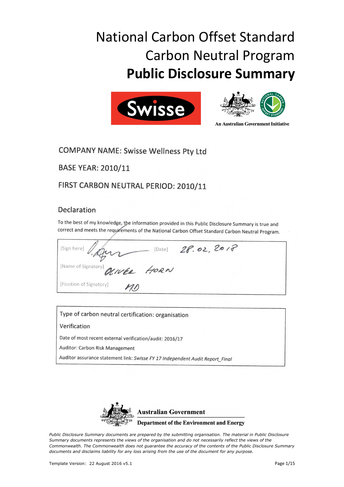# National Carbon Offset Standard Carbon Neutral Program **Public Disclosure Summary**





**An Australian Government Initiative** 

# **COMPANY NAME: Swisse Wellness Pty Ltd**

**BASE YEAR: 2010/11** 

## FIRST CARBON NEUTRAL PERIOD: 2010/11

### Declaration

To the best of my knowledge, the information provided in this Public Disclosure Summary is true and correct and meets the requirements of the National Carbon Offset Standard Carbon Neutral Program.

[Date] 28.02.2017 [Sign here] [Name of Signator KIVER HORN [Position of Signatory]

Type of carbon neutral certification: organisation

#### Verification

Date of most recent external verification/audit: 2016/17

Auditor: Carbon Risk Management

Auditor assurance statement link: Swisse FY 17 Independent Audit Report\_Final



*Public Disclosure Summary documents are prepared by the submitting organisation. The material in Public Disclosure Summary documents represents the views of the organisation and do not necessarily reflect the views of the Commonwealth. The Commonwealth does not guarantee the accuracy of the contents of the Public Disclosure Summary documents and disclaims liability for any loss arising from the use of the document for any purpose.*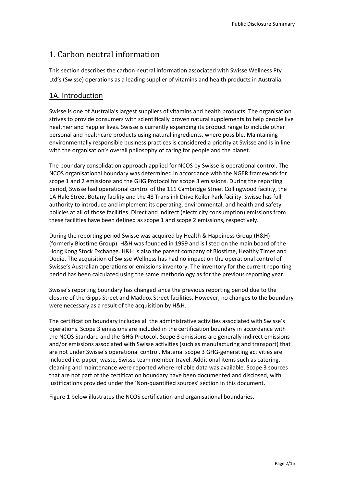## 1. Carbon neutral information

This section describes the carbon neutral information associated with Swisse Wellness Pty Ltd's (Swisse) operations as a leading supplier of vitamins and health products in Australia.

#### 1A. Introduction

Swisse is one of Australia's largest suppliers of vitamins and health products. The organisation strives to provide consumers with scientifically proven natural supplements to help people live healthier and happier lives. Swisse is currently expanding its product range to include other personal and healthcare products using natural ingredients, where possible. Maintaining environmentally responsible business practices is considered a priority at Swisse and is in line with the organisation's overall philosophy of caring for people and the planet.

The boundary consolidation approach applied for NCOS by Swisse is operational control. The NCOS organisational boundary was determined in accordance with the NGER framework for scope 1 and 2 emissions and the GHG Protocol for scope 3 emissions. During the reporting period, Swisse had operational control of the 111 Cambridge Street Collingwood facility, the 1A Hale Street Botany facility and the 48 Translink Drive Keilor Park facility. Swisse has full authority to introduce and implement its operating, environmental, and health and safety policies at all of those facilities. Direct and indirect (electricity consumption) emissions from these facilities have been defined as scope 1 and scope 2 emissions, respectively.

During the reporting period Swisse was acquired by Health & Happiness Group (H&H) (formerly Biostime Group). H&H was founded in 1999 and is listed on the main board of the Hong Kong Stock Exchange. H&H is also the parent company of Biostime, Healthy Times and Dodie. The acquisition of Swisse Wellness has had no impact on the operational control of Swisse's Australian operations or emissions inventory. The inventory for the current reporting period has been calculated using the same methodology as for the previous reporting year.

Swisse's reporting boundary has changed since the previous reporting period due to the closure of the Gipps Street and Maddox Street facilities. However, no changes to the boundary were necessary as a result of the acquisition by H&H.

The certification boundary includes all the administrative activities associated with Swisse's operations. Scope 3 emissions are included in the certification boundary in accordance with the NCOS Standard and the GHG Protocol. Scope 3 emissions are generally indirect emissions and/or emissions associated with Swisse activities (such as manufacturing and transport) that are not under Swisse's operational control. Material scope 3 GHG-generating activities are included i.e. paper, waste, Swisse team member travel. Additional items such as catering, cleaning and maintenance were reported where reliable data was available. Scope 3 sources that are not part of the certification boundary have been documented and disclosed, with justifications provided under the 'Non-quantified sources' section in this document.

Figure 1 below illustrates the NCOS certification and organisational boundaries.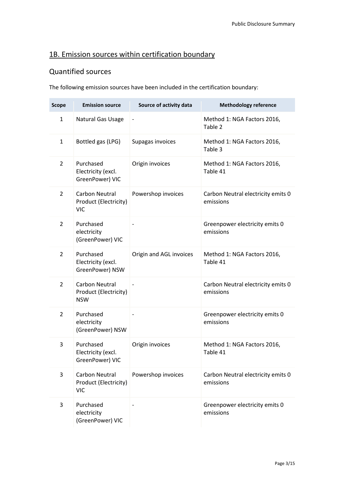## 1B. Emission sources within certification boundary

## Quantified sources

The following emission sources have been included in the certification boundary:

| <b>Scope</b>   | <b>Emission source</b>                                       | Source of activity data | <b>Methodology reference</b>                    |
|----------------|--------------------------------------------------------------|-------------------------|-------------------------------------------------|
| $\mathbf{1}$   | Natural Gas Usage                                            |                         | Method 1: NGA Factors 2016,<br>Table 2          |
| $\mathbf{1}$   | Bottled gas (LPG)                                            | Supagas invoices        | Method 1: NGA Factors 2016,<br>Table 3          |
| $\overline{2}$ | Purchased<br>Electricity (excl.<br>GreenPower) VIC           | Origin invoices         | Method 1: NGA Factors 2016,<br>Table 41         |
| $\overline{2}$ | Carbon Neutral<br>Product (Electricity)<br><b>VIC</b>        | Powershop invoices      | Carbon Neutral electricity emits 0<br>emissions |
| $\overline{2}$ | Purchased<br>electricity<br>(GreenPower) VIC                 |                         | Greenpower electricity emits 0<br>emissions     |
| $\overline{2}$ | Purchased<br>Electricity (excl.<br>GreenPower) NSW           | Origin and AGL invoices | Method 1: NGA Factors 2016,<br>Table 41         |
| $\overline{2}$ | <b>Carbon Neutral</b><br>Product (Electricity)<br><b>NSW</b> |                         | Carbon Neutral electricity emits 0<br>emissions |
| $\overline{2}$ | Purchased<br>electricity<br>(GreenPower) NSW                 |                         | Greenpower electricity emits 0<br>emissions     |
| 3              | Purchased<br>Electricity (excl.<br>GreenPower) VIC           | Origin invoices         | Method 1: NGA Factors 2016,<br>Table 41         |
| 3              | Carbon Neutral<br>Product (Electricity)<br><b>VIC</b>        | Powershop invoices      | Carbon Neutral electricity emits 0<br>emissions |
| 3              | Purchased<br>electricity<br>(GreenPower) VIC                 |                         | Greenpower electricity emits 0<br>emissions     |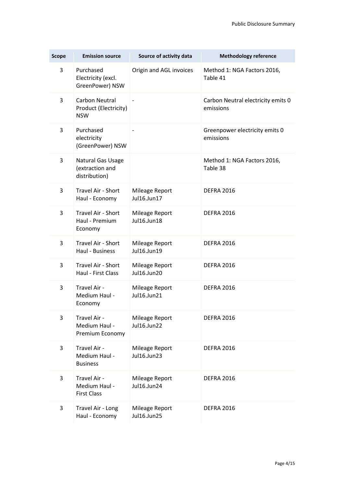| <b>Scope</b> | <b>Emission source</b>                                       | Source of activity data       | <b>Methodology reference</b>                    |
|--------------|--------------------------------------------------------------|-------------------------------|-------------------------------------------------|
| 3            | Purchased<br>Electricity (excl.<br>GreenPower) NSW           | Origin and AGL invoices       | Method 1: NGA Factors 2016,<br>Table 41         |
| 3            | <b>Carbon Neutral</b><br>Product (Electricity)<br><b>NSW</b> | $\qquad \qquad \blacksquare$  | Carbon Neutral electricity emits 0<br>emissions |
| 3            | Purchased<br>electricity<br>(GreenPower) NSW                 |                               | Greenpower electricity emits 0<br>emissions     |
| 3            | Natural Gas Usage<br>(extraction and<br>distribution)        |                               | Method 1: NGA Factors 2016,<br>Table 38         |
| 3            | Travel Air - Short<br>Haul - Economy                         | Mileage Report<br>Jul16.Jun17 | <b>DEFRA 2016</b>                               |
| 3            | Travel Air - Short<br>Haul - Premium<br>Economy              | Mileage Report<br>Jul16.Jun18 | <b>DEFRA 2016</b>                               |
| 3            | Travel Air - Short<br>Haul - Business                        | Mileage Report<br>Jul16.Jun19 | <b>DEFRA 2016</b>                               |
| 3            | Travel Air - Short<br>Haul - First Class                     | Mileage Report<br>Jul16.Jun20 | <b>DEFRA 2016</b>                               |
| 3            | Travel Air -<br>Medium Haul -<br>Economy                     | Mileage Report<br>Jul16.Jun21 | <b>DEFRA 2016</b>                               |
| 3            | Travel Air -<br>Medium Haul -<br>Premium Economy             | Mileage Report<br>Jul16.Jun22 | <b>DEFRA 2016</b>                               |
| 3            | Travel Air -<br>Medium Haul -<br><b>Business</b>             | Mileage Report<br>Jul16.Jun23 | <b>DEFRA 2016</b>                               |
| 3            | Travel Air -<br>Medium Haul -<br><b>First Class</b>          | Mileage Report<br>Jul16.Jun24 | <b>DEFRA 2016</b>                               |
| 3            | Travel Air - Long<br>Haul - Economy                          | Mileage Report<br>Jul16.Jun25 | <b>DEFRA 2016</b>                               |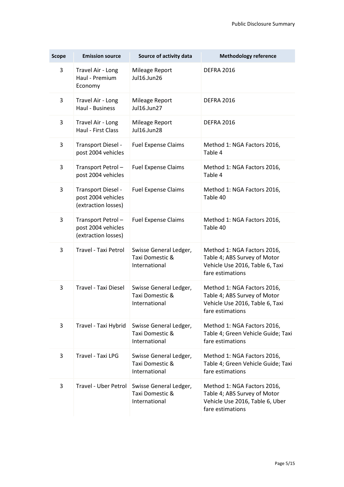| <b>Scope</b> | <b>Emission source</b>                                          | Source of activity data                                    | <b>Methodology reference</b>                                                                                       |
|--------------|-----------------------------------------------------------------|------------------------------------------------------------|--------------------------------------------------------------------------------------------------------------------|
| 3            | Travel Air - Long<br>Haul - Premium<br>Economy                  | Mileage Report<br>Jul16.Jun26                              | <b>DEFRA 2016</b>                                                                                                  |
| 3            | Travel Air - Long<br>Haul - Business                            | Mileage Report<br>Jul16.Jun27                              | <b>DEFRA 2016</b>                                                                                                  |
| 3            | Travel Air - Long<br>Haul - First Class                         | Mileage Report<br>Jul16.Jun28                              | <b>DEFRA 2016</b>                                                                                                  |
| 3            | Transport Diesel -<br>post 2004 vehicles                        | <b>Fuel Expense Claims</b>                                 | Method 1: NGA Factors 2016,<br>Table 4                                                                             |
| 3            | Transport Petrol-<br>post 2004 vehicles                         | <b>Fuel Expense Claims</b>                                 | Method 1: NGA Factors 2016,<br>Table 4                                                                             |
| 3            | Transport Diesel -<br>post 2004 vehicles<br>(extraction losses) | <b>Fuel Expense Claims</b>                                 | Method 1: NGA Factors 2016,<br>Table 40                                                                            |
| 3            | Transport Petrol-<br>post 2004 vehicles<br>(extraction losses)  | <b>Fuel Expense Claims</b>                                 | Method 1: NGA Factors 2016,<br>Table 40                                                                            |
| 3            | Travel - Taxi Petrol                                            | Swisse General Ledger,<br>Taxi Domestic &<br>International | Method 1: NGA Factors 2016,<br>Table 4; ABS Survey of Motor<br>Vehicle Use 2016, Table 6, Taxi<br>fare estimations |
| 3            | Travel - Taxi Diesel                                            | Swisse General Ledger,<br>Taxi Domestic &<br>International | Method 1: NGA Factors 2016,<br>Table 4; ABS Survey of Motor<br>Vehicle Use 2016, Table 6, Taxi<br>fare estimations |
| 3            | Travel - Taxi Hybrid                                            | Swisse General Ledger,<br>Taxi Domestic &<br>International | Method 1: NGA Factors 2016,<br>Table 4; Green Vehicle Guide; Taxi<br>fare estimations                              |
| 3            | Travel - Taxi LPG                                               | Swisse General Ledger,<br>Taxi Domestic &<br>International | Method 1: NGA Factors 2016,<br>Table 4; Green Vehicle Guide; Taxi<br>fare estimations                              |
| 3            | Travel - Uber Petrol                                            | Swisse General Ledger,<br>Taxi Domestic &<br>International | Method 1: NGA Factors 2016,<br>Table 4; ABS Survey of Motor<br>Vehicle Use 2016, Table 6, Uber<br>fare estimations |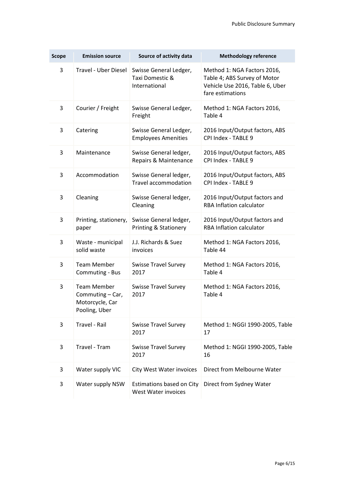| <b>Scope</b> | <b>Emission source</b>                                                     | Source of activity data                                    | <b>Methodology reference</b>                                                                                       |  |
|--------------|----------------------------------------------------------------------------|------------------------------------------------------------|--------------------------------------------------------------------------------------------------------------------|--|
| 3            | <b>Travel - Uber Diesel</b>                                                | Swisse General Ledger,<br>Taxi Domestic &<br>International | Method 1: NGA Factors 2016,<br>Table 4; ABS Survey of Motor<br>Vehicle Use 2016, Table 6, Uber<br>fare estimations |  |
| 3            | Courier / Freight                                                          | Swisse General Ledger,<br>Freight                          | Method 1: NGA Factors 2016,<br>Table 4                                                                             |  |
| 3            | Catering                                                                   | Swisse General Ledger,<br><b>Employees Amenities</b>       | 2016 Input/Output factors, ABS<br>CPI Index - TABLE 9                                                              |  |
| 3            | Maintenance                                                                | Swisse General ledger,<br>Repairs & Maintenance            | 2016 Input/Output factors, ABS<br>CPI Index - TABLE 9                                                              |  |
| 3            | Accommodation                                                              | Swisse General ledger,<br><b>Travel accommodation</b>      | 2016 Input/Output factors, ABS<br>CPI Index - TABLE 9                                                              |  |
| 3            | Cleaning                                                                   | Swisse General ledger,<br>Cleaning                         | 2016 Input/Output factors and<br><b>RBA Inflation calculator</b>                                                   |  |
| 3            | Printing, stationery,<br>paper                                             | Swisse General ledger,<br>Printing & Stationery            | 2016 Input/Output factors and<br><b>RBA Inflation calculator</b>                                                   |  |
| 3            | Waste - municipal<br>solid waste                                           | J.J. Richards & Suez<br>invoices                           | Method 1: NGA Factors 2016,<br>Table 44                                                                            |  |
| 3            | <b>Team Member</b><br>Commuting - Bus                                      | <b>Swisse Travel Survey</b><br>2017                        | Method 1: NGA Factors 2016,<br>Table 4                                                                             |  |
| 3            | <b>Team Member</b><br>Commuting - Car,<br>Motorcycle, Car<br>Pooling, Uber | <b>Swisse Travel Survey</b><br>2017                        | Method 1: NGA Factors 2016,<br>Table 4                                                                             |  |
| 3            | Travel - Rail                                                              | <b>Swisse Travel Survey</b><br>2017                        | Method 1: NGGI 1990-2005, Table<br>17                                                                              |  |
| 3            | Travel - Tram                                                              | <b>Swisse Travel Survey</b><br>2017                        | Method 1: NGGI 1990-2005, Table<br>16                                                                              |  |
| 3            | Water supply VIC                                                           | <b>City West Water invoices</b>                            | Direct from Melbourne Water                                                                                        |  |
| 3            | Water supply NSW                                                           | Estimations based on City<br><b>West Water invoices</b>    | Direct from Sydney Water                                                                                           |  |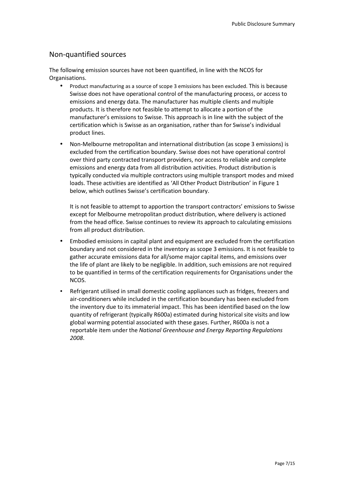#### Non-quantified sources

The following emission sources have not been quantified, in line with the NCOS for Organisations.

- Product manufacturing as a source of scope 3 emissions has been excluded. This is because Swisse does not have operational control of the manufacturing process, or access to emissions and energy data. The manufacturer has multiple clients and multiple products. It is therefore not feasible to attempt to allocate a portion of the manufacturer's emissions to Swisse. This approach is in line with the subject of the certification which is Swisse as an organisation, rather than for Swisse's individual product lines.
- Non-Melbourne metropolitan and international distribution (as scope 3 emissions) is excluded from the certification boundary. Swisse does not have operational control over third party contracted transport providers, nor access to reliable and complete emissions and energy data from all distribution activities. Product distribution is typically conducted via multiple contractors using multiple transport modes and mixed loads. These activities are identified as 'All Other Product Distribution' in Figure 1 below, which outlines Swisse's certification boundary.

It is not feasible to attempt to apportion the transport contractors' emissions to Swisse except for Melbourne metropolitan product distribution, where delivery is actioned from the head office. Swisse continues to review its approach to calculating emissions from all product distribution.

- Embodied emissions in capital plant and equipment are excluded from the certification boundary and not considered in the inventory as scope 3 emissions. It is not feasible to gather accurate emissions data for all/some major capital items, and emissions over the life of plant are likely to be negligible. In addition, such emissions are not required to be quantified in terms of the certification requirements for Organisations under the NCOS.
- Refrigerant utilised in small domestic cooling appliances such as fridges, freezers and air-conditioners while included in the certification boundary has been excluded from the inventory due to its immaterial impact. This has been identified based on the low quantity of refrigerant (typically R600a) estimated during historical site visits and low global warming potential associated with these gases. Further, R600a is not a reportable item under the *National Greenhouse and Energy Reporting Regulations 2008*.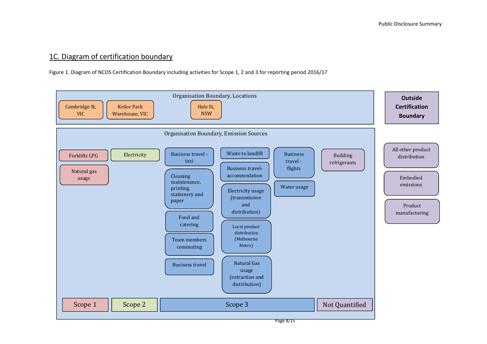#### 1C. Diagram of certification boundary

Figure 1. Diagram of NCOS Certification Boundary including activities for Scope 1, 2 and 3 for reporting period 2016/17

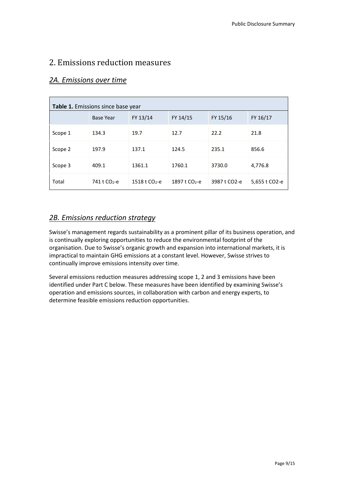#### 2. Emissions reduction measures

| Table 1. Emissions since base year |                          |                             |                 |                           |               |  |
|------------------------------------|--------------------------|-----------------------------|-----------------|---------------------------|---------------|--|
|                                    | <b>Base Year</b>         | FY 13/14                    | FY 14/15        | FY 15/16                  | FY 16/17      |  |
| Scope 1                            | 134.3                    | 19.7                        | 12.7            | 22.2                      | 21.8          |  |
| Scope 2                            | 197.9                    | 137.1                       | 124.5           | 235.1                     | 856.6         |  |
| Scope 3                            | 409.1                    | 1361.1                      | 1760.1          | 3730.0                    | 4,776.8       |  |
| Total                              | 741 t CO <sub>2</sub> -e | $1518$ t CO <sub>2</sub> -e | 1897 t $CO2$ -e | 3987 t CO <sub>2</sub> -e | 5,655 t CO2-e |  |

#### *2A. Emissions over time*

#### *2B. Emissions reduction strategy*

Swisse's management regards sustainability as a prominent pillar of its business operation, and is continually exploring opportunities to reduce the environmental footprint of the organisation. Due to Swisse's organic growth and expansion into international markets, it is impractical to maintain GHG emissions at a constant level. However, Swisse strives to continually improve emissions intensity over time.

Several emissions reduction measures addressing scope 1, 2 and 3 emissions have been identified under Part C below. These measures have been identified by examining Swisse's operation and emissions sources, in collaboration with carbon and energy experts, to determine feasible emissions reduction opportunities.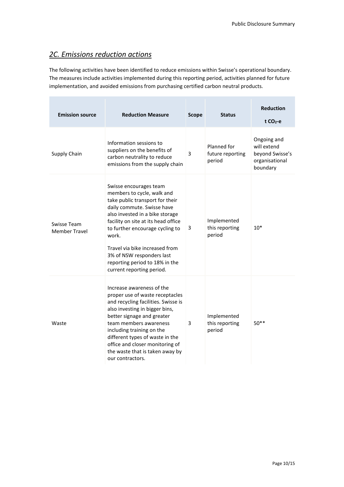## *2C. Emissions reduction actions*

The following activities have been identified to reduce emissions within Swisse's operational boundary. The measures include activities implemented during this reporting period, activities planned for future implementation, and avoided emissions from purchasing certified carbon neutral products.

| <b>Emission source</b>              | <b>Reduction Measure</b>                                                                                                                                                                                                                                                                                                                                                  | <b>Scope</b> | <b>Status</b>                             | <b>Reduction</b><br>$t CO2-e$                                               |
|-------------------------------------|---------------------------------------------------------------------------------------------------------------------------------------------------------------------------------------------------------------------------------------------------------------------------------------------------------------------------------------------------------------------------|--------------|-------------------------------------------|-----------------------------------------------------------------------------|
| Supply Chain                        | Information sessions to<br>suppliers on the benefits of<br>carbon neutrality to reduce<br>emissions from the supply chain                                                                                                                                                                                                                                                 | 3            | Planned for<br>future reporting<br>period | Ongoing and<br>will extend<br>beyond Swisse's<br>organisational<br>boundary |
| Swisse Team<br><b>Member Travel</b> | Swisse encourages team<br>members to cycle, walk and<br>take public transport for their<br>daily commute. Swisse have<br>also invested in a bike storage<br>facility on site at its head office<br>to further encourage cycling to<br>work.<br>Travel via bike increased from<br>3% of NSW responders last<br>reporting period to 18% in the<br>current reporting period. | 3            | Implemented<br>this reporting<br>period   | $10*$                                                                       |
| Waste                               | Increase awareness of the<br>proper use of waste receptacles<br>and recycling facilities. Swisse is<br>also investing in bigger bins,<br>better signage and greater<br>team members awareness<br>including training on the<br>different types of waste in the<br>office and closer monitoring of<br>the waste that is taken away by<br>our contractors.                   | 3            | Implemented<br>this reporting<br>period   | $50**$                                                                      |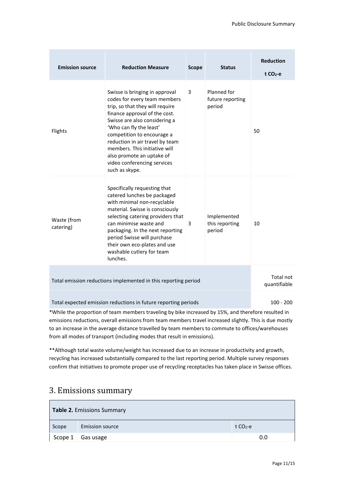| <b>Emission source</b>                                                                                                                                                                   | <b>Reduction Measure</b>                                                                                                                                                                                                                                                                                                                                                       | <b>Scope</b> | <b>Status</b>                             | <b>Reduction</b><br>$t CO2-e$ |  |
|------------------------------------------------------------------------------------------------------------------------------------------------------------------------------------------|--------------------------------------------------------------------------------------------------------------------------------------------------------------------------------------------------------------------------------------------------------------------------------------------------------------------------------------------------------------------------------|--------------|-------------------------------------------|-------------------------------|--|
| Flights                                                                                                                                                                                  | Swisse is bringing in approval<br>codes for every team members<br>trip, so that they will require<br>finance approval of the cost.<br>Swisse are also considering a<br>'Who can fly the least'<br>competition to encourage a<br>reduction in air travel by team<br>members. This initiative will<br>also promote an uptake of<br>video conferencing services<br>such as skype. | 3            | Planned for<br>future reporting<br>period | 50                            |  |
| Waste (from<br>catering)                                                                                                                                                                 | Specifically requesting that<br>catered lunches be packaged<br>with minimal non-recyclable<br>material. Swisse is consciously<br>selecting catering providers that<br>can minimise waste and<br>packaging. In the next reporting<br>period Swisse will purchase<br>their own eco-plates and use<br>washable cutlery for team<br>lunches.                                       | 3            | Implemented<br>this reporting<br>period   | 10                            |  |
| Total emission reductions implemented in this reporting period                                                                                                                           | Total not<br>quantifiable                                                                                                                                                                                                                                                                                                                                                      |              |                                           |                               |  |
| Total expected emission reductions in future reporting periods<br>$100 - 200$<br>$*$ While the nroportion of team members traveling by bilie increased by 15%, and therefore resulted in |                                                                                                                                                                                                                                                                                                                                                                                |              |                                           |                               |  |

\*While the proportion of team members traveling by bike increased by 15%, and therefore resulted in emissions reductions, overall emissions from team members travel increased slightly. This is due mostly to an increase in the average distance travelled by team members to commute to offices/warehouses from all modes of transport (including modes that result in emissions).

\*\*Although total waste volume/weight has increased due to an increase in productivity and growth, recycling has increased substantially compared to the last reporting period. Multiple survey responses confirm that initiatives to promote proper use of recycling receptacles has taken place in Swisse offices.

## 3. Emissions summary

| <b>Table 2. Emissions Summary</b> |                          |           |  |  |
|-----------------------------------|--------------------------|-----------|--|--|
| Scope                             | <b>Emission source</b>   | t $CO2-e$ |  |  |
|                                   | Scope $1 \mid$ Gas usage | 0.0       |  |  |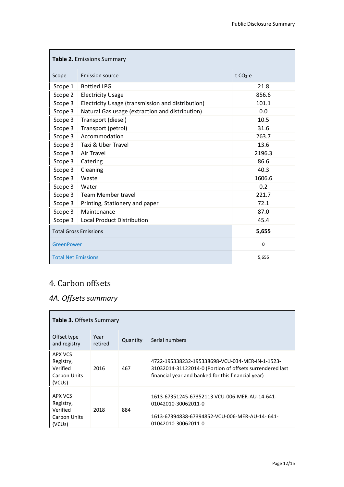| <b>Table 2. Emissions Summary</b>     |                                                   |                       |  |  |  |
|---------------------------------------|---------------------------------------------------|-----------------------|--|--|--|
| Scope                                 | Emission source                                   | $t$ CO <sub>2-e</sub> |  |  |  |
| Scope 1                               | <b>Bottled LPG</b>                                | 21.8                  |  |  |  |
| Scope 2                               | <b>Electricity Usage</b>                          | 856.6                 |  |  |  |
| Scope 3                               | Electricity Usage (transmission and distribution) | 101.1                 |  |  |  |
| Scope 3                               | Natural Gas usage (extraction and distribution)   | 0.0                   |  |  |  |
| Scope 3                               | Transport (diesel)                                | 10.5                  |  |  |  |
| Scope 3                               | Transport (petrol)                                | 31.6                  |  |  |  |
| Scope 3                               | Accommodation                                     | 263.7                 |  |  |  |
| Scope 3                               | Taxi & Uber Travel                                | 13.6                  |  |  |  |
| Scope 3                               | <b>Air Travel</b>                                 | 2196.3                |  |  |  |
| Scope 3                               | Catering                                          | 86.6                  |  |  |  |
| Scope 3                               | Cleaning                                          | 40.3                  |  |  |  |
| Scope 3                               | Waste                                             | 1606.6                |  |  |  |
| Scope 3                               | Water                                             | 0.2                   |  |  |  |
| Scope 3                               | <b>Team Member travel</b>                         | 221.7                 |  |  |  |
| Scope 3                               | Printing, Stationery and paper                    | 72.1                  |  |  |  |
| Scope 3                               | Maintenance                                       | 87.0                  |  |  |  |
| Scope 3                               | <b>Local Product Distribution</b>                 | 45.4                  |  |  |  |
| <b>Total Gross Emissions</b><br>5,655 |                                                   |                       |  |  |  |
| <b>GreenPower</b>                     |                                                   | 0                     |  |  |  |
| <b>Total Net Emissions</b><br>5,655   |                                                   |                       |  |  |  |

# 4. Carbon offsets

## *4A. Offsets summary*

| <b>Table 3. Offsets Summary</b>                                         |                 |          |                                                                                                                                                                   |  |
|-------------------------------------------------------------------------|-----------------|----------|-------------------------------------------------------------------------------------------------------------------------------------------------------------------|--|
| Offset type<br>and registry                                             | Year<br>retired | Quantity | Serial numbers                                                                                                                                                    |  |
| APX VCS<br>Registry,<br>Verified<br>Carbon Units<br>(VCU <sub>s</sub> ) | 2016            | 467      | 4722-195338232-195338698-VCU-034-MER-IN-1-1523-<br>31032014-31122014-0 (Portion of offsets surrendered last<br>financial year and banked for this financial year) |  |
| APX VCS<br>Registry,<br>Verified<br>Carbon Units<br>(VCU <sub>s</sub> ) | 2018            | 884      | 1613-67351245-67352113 VCU-006-MER-AU-14-641-<br>01042010-30062011-0<br>1613-67394838-67394852-VCU-006-MER-AU-14-641-<br>01042010-30062011-0                      |  |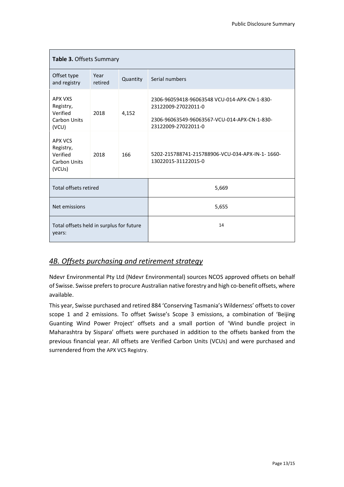| <b>Table 3. Offsets Summary</b>                                                   |                 |          |                                                                                                                                            |  |
|-----------------------------------------------------------------------------------|-----------------|----------|--------------------------------------------------------------------------------------------------------------------------------------------|--|
| Offset type<br>and registry                                                       | Year<br>retired | Quantity | Serial numbers                                                                                                                             |  |
| <b>APX VXS</b><br>Registry,<br>Verified<br>2018<br>4,152<br>Carbon Units<br>(VCU) |                 |          | 2306-96059418-96063548 VCU-014-APX-CN-1-830-<br>23122009-27022011-0<br>2306-96063549-96063567-VCU-014-APX-CN-1-830-<br>23122009-27022011-0 |  |
| <b>APX VCS</b><br>Registry,<br>Verified<br>Carbon Units<br>(VCU <sub>s</sub> )    | 2018            | 166      | 5202-215788741-215788906-VCU-034-APX-IN-1-1660-<br>13022015-31122015-0                                                                     |  |
| Total offsets retired                                                             |                 |          | 5,669                                                                                                                                      |  |
| Net emissions                                                                     |                 |          | 5,655                                                                                                                                      |  |
| Total offsets held in surplus for future<br>years:                                |                 |          | 14                                                                                                                                         |  |

#### *4B. Offsets purchasing and retirement strategy*

Ndevr Environmental Pty Ltd (Ndevr Environmental) sources NCOS approved offsets on behalf of Swisse. Swisse prefers to procure Australian native forestry and high co-benefit offsets, where available.

This year, Swisse purchased and retired 884 'Conserving Tasmania's Wilderness' offsets to cover scope 1 and 2 emissions. To offset Swisse's Scope 3 emissions, a combination of 'Beijing Guanting Wind Power Project' offsets and a small portion of 'Wind bundle project in Maharashtra by Sispara' offsets were purchased in addition to the offsets banked from the previous financial year. All offsets are Verified Carbon Units (VCUs) and were purchased and surrendered from the APX VCS Registry.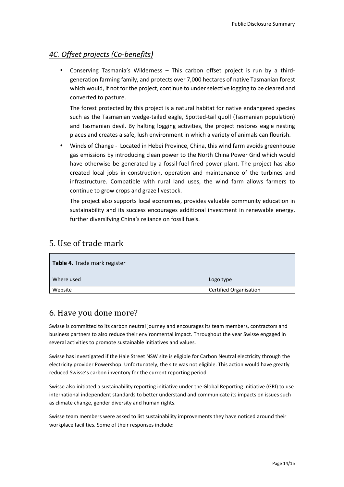#### *4C. Offset projects (Co-benefits)*

• Conserving Tasmania's Wilderness – This carbon offset project is run by a thirdgeneration farming family, and protects over 7,000 hectares of native Tasmanian forest which would, if not for the project, continue to under selective logging to be cleared and converted to pasture.

The forest protected by this project is a natural habitat for native endangered species such as the Tasmanian wedge-tailed eagle, Spotted-tail quoll (Tasmanian population) and Tasmanian devil. By halting logging activities, the project restores eagle nesting places and creates a safe, lush environment in which a variety of animals can flourish.

• Winds of Change - Located in Hebei Province, China, this wind farm avoids greenhouse gas emissions by introducing clean power to the North China Power Grid which would have otherwise be generated by a fossil-fuel fired power plant. The project has also created local jobs in construction, operation and maintenance of the turbines and infrastructure. Compatible with rural land uses, the wind farm allows farmers to continue to grow crops and graze livestock.

The project also supports local economies, provides valuable community education in sustainability and its success encourages additional investment in renewable energy, further diversifying China's reliance on fossil fuels.

## 5. Use of trade mark

| Table 4. Trade mark register |                               |  |  |  |
|------------------------------|-------------------------------|--|--|--|
| Where used                   | Logo type                     |  |  |  |
| Website                      | <b>Certified Organisation</b> |  |  |  |

## 6. Have you done more?

Swisse is committed to its carbon neutral journey and encourages its team members, contractors and business partners to also reduce their environmental impact. Throughout the year Swisse engaged in several activities to promote sustainable initiatives and values.

Swisse has investigated if the Hale Street NSW site is eligible for Carbon Neutral electricity through the electricity provider Powershop. Unfortunately, the site was not eligible. This action would have greatly reduced Swisse's carbon inventory for the current reporting period.

Swisse also initiated a sustainability reporting initiative under the Global Reporting Initiative (GRI) to use international independent standards to better understand and communicate its impacts on issues such as climate change, gender diversity and human rights.

Swisse team members were asked to list sustainability improvements they have noticed around their workplace facilities. Some of their responses include: